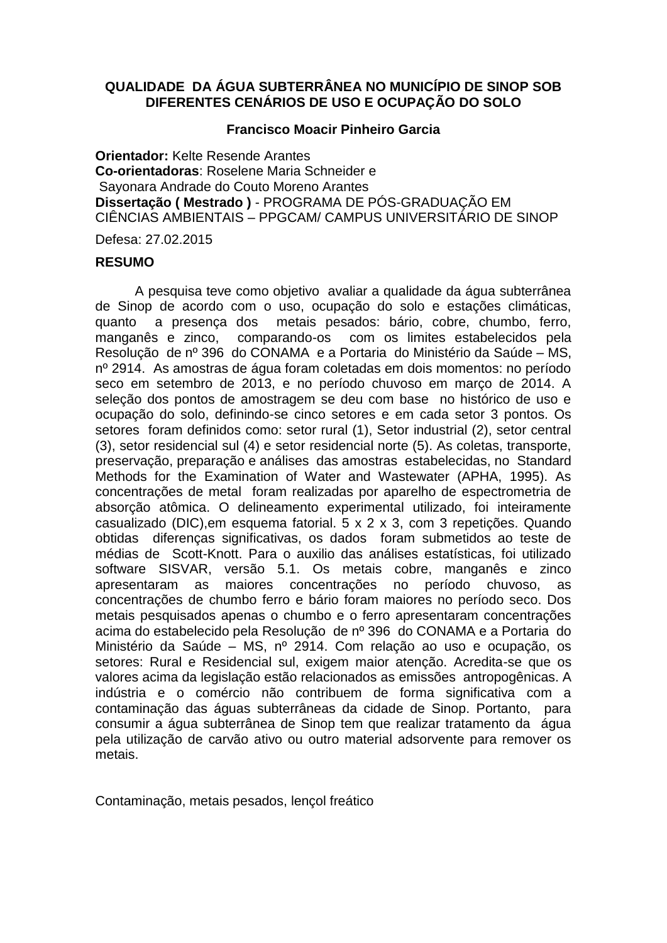## **QUALIDADE DA ÁGUA SUBTERRÂNEA NO MUNICÍPIO DE SINOP SOB DIFERENTES CENÁRIOS DE USO E OCUPAÇÃO DO SOLO**

## **Francisco Moacir Pinheiro Garcia**

**Orientador:** Kelte Resende Arantes **Co-orientadoras**: Roselene Maria Schneider e Sayonara Andrade do Couto Moreno Arantes **Dissertação ( Mestrado )** - PROGRAMA DE PÓS-GRADUAÇÃO EM CIÊNCIAS AMBIENTAIS – PPGCAM/ CAMPUS UNIVERSITÁRIO DE SINOP

Defesa: 27.02.2015

## **RESUMO**

A pesquisa teve como objetivo avaliar a qualidade da água subterrânea de Sinop de acordo com o uso, ocupação do solo e estações climáticas, quanto a presença dos metais pesados: bário, cobre, chumbo, ferro, manganês e zinco, comparando-os com os limites estabelecidos pela Resolução de nº 396 do CONAMA e a Portaria do Ministério da Saúde – MS, nº 2914. As amostras de água foram coletadas em dois momentos: no período seco em setembro de 2013, e no período chuvoso em março de 2014. A seleção dos pontos de amostragem se deu com base no histórico de uso e ocupação do solo, definindo-se cinco setores e em cada setor 3 pontos. Os setores foram definidos como: setor rural (1), Setor industrial (2), setor central (3), setor residencial sul (4) e setor residencial norte (5). As coletas, transporte, preservação, preparação e análises das amostras estabelecidas, no Standard Methods for the Examination of Water and Wastewater (APHA, 1995). As concentrações de metal foram realizadas por aparelho de espectrometria de absorção atômica. O delineamento experimental utilizado, foi inteiramente casualizado (DIC),em esquema fatorial. 5 x 2 x 3, com 3 repetições. Quando obtidas diferenças significativas, os dados foram submetidos ao teste de médias de Scott-Knott. Para o auxilio das análises estatísticas, foi utilizado software SISVAR, versão 5.1. Os metais cobre, manganês e zinco apresentaram as maiores concentrações no período chuvoso, as concentrações de chumbo ferro e bário foram maiores no período seco. Dos metais pesquisados apenas o chumbo e o ferro apresentaram concentrações acima do estabelecido pela Resolução de nº 396 do CONAMA e a Portaria do Ministério da Saúde – MS, nº 2914. Com relação ao uso e ocupação, os setores: Rural e Residencial sul, exigem maior atenção. Acredita-se que os valores acima da legislação estão relacionados as emissões antropogênicas. A indústria e o comércio não contribuem de forma significativa com a contaminação das águas subterrâneas da cidade de Sinop. Portanto, para consumir a água subterrânea de Sinop tem que realizar tratamento da água pela utilização de carvão ativo ou outro material adsorvente para remover os metais.

Contaminação, metais pesados, lençol freático